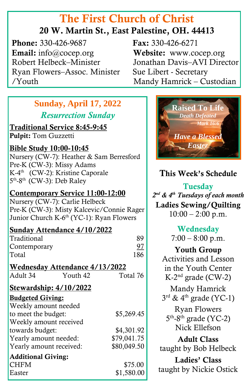# The First Church of Christ

### 20 W. Martin St., East Palestine, OH. 44413

**Phone:** 330-426-9687 **Fax:** 330-426-6271 Email: info@cocep.org Website: www.cocep.org Robert Helbeck–Minister Jonathan Davis–AVI Director Ryan Flowers–Assoc. Minister Sue Libert - Secretary /Youth Mandy Hamrick – Custodian

Ī

### **Sunday, April 17, 2022** *Resurrection Sunday*

# Traditional Service 8:45-9:45

# Pulpit: Tom Guzzetti

Bible Study 10:00-10:45 Nursery (CW-7): Heather & Sam Berresford Pre-K (CW-3): Missy Adams K-4 th (CW-2): Kristine Caporale 5<sup>th</sup>-8<sup>th</sup> (CW-3): Deb Raley

#### Contemporary Service 11:00-12:00

Nursery (CW-7): Carlie Helbeck Pre-K (CW-3): Misty Kalcevic/Connie Rager Junior Church K-6<sup>th</sup> (YC-1): Ryan Flowers

#### Sunday Attendance 4/10/2022

| Traditional                           |          | 89          |
|---------------------------------------|----------|-------------|
| Contemporary                          |          | 97          |
| Total                                 |          | 186         |
| <u>Wednesday Attendance 4/13/2022</u> |          |             |
| Adult 34                              | Youth 42 | Total 76    |
| <u>Stewardship: 4/10/2022</u>         |          |             |
| <b>Budgeted Giving:</b>               |          |             |
| Weekly amount needed                  |          |             |
| to meet the budget:                   |          | \$5,269.45  |
| Weekly amount received                |          |             |
| towards budget:                       |          | \$4,301.92  |
| Yearly amount needed:                 |          | \$79,041.75 |
| Yearly amount received:               |          | \$80,049.50 |
| <b>Additional Giving:</b>             |          |             |
| <b>CHFM</b>                           |          | \$75.00     |
| Easter                                |          | \$1,580.00  |

j



### This Week's Schedule

# **Tuesday**

*2 nd & 4th Tuesdays of each month* Ladies Sewing/Quilting  $10:00 - 2:00$  p.m.

> Wednesday  $7:00 - 8:00 \text{ p.m.}$

Youth Group Activities and Lesson in the Youth Center K-2 nd grade (CW-2)

Mandy Hamrick  $3^{\text{rd}}$  & 4<sup>th</sup> grade (YC-1)

Ryan Flowers 5<sup>th</sup>-8<sup>th</sup> grade (YC-2) Nick Ellefson

Adult Class taught by Bob Helbeck

Ladies' Class taught by Nickie Ostick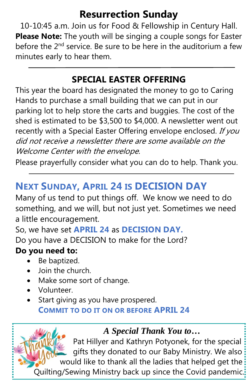# **Resurrection Sunday**

10-10:45 a.m. Join us for Food & Fellowship in Century Hall. **Please Note:** The youth will be singing a couple songs for Easter before the  $2<sup>nd</sup>$  service. Be sure to be here in the auditorium a few minutes early to hear them.

### **SPECIAL EASTER OFFERING**

recently with a Special Easter Offering envelope enclosed. If you This year the board has designated the money to go to Caring Hands to purchase a small building that we can put in our parking lot to help store the carts and buggies. The cost of the shed is estimated to be \$3,500 to \$4,000. A newsletter went out did not receive a newsletter there are some available on the Welcome Center with the envelope.

Please prayerfully consider what you can do to help. Thank you.

## **NEXT SUNDAY, APRIL 24 IS DECISION DAY**

 Many of us tend to put things off. We know we need to do something, and we will, but not just yet. Sometimes we need a little encouragement.

So, we have set **APRIL 24** as **DECISION DAY.**  Do you have a DECISION to make for the Lord?

### **Do you need to:**

- Be baptized.
- Join the church.
- Make some sort of change.
- Volunteer.

• Start giving as you have prospered. **COMMIT TO DO IT ON OR BEFORE APRIL 24**

### *A Special Thank You to…*

 Pat Hillyer and Kathryn Potyonek, for the special gifts they donated to our Baby Ministry. We also would like to thank all the ladies that helped get the

Quilting/Sewing Ministry back up since the Covid pandemic.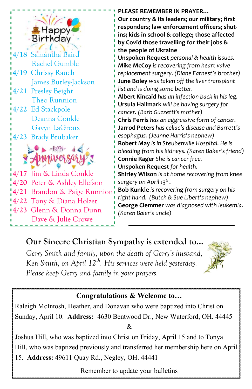

 **4/19** Chrissy Rauch **4/18** Samantha Baird Rachel Gumble James Burley-Jackson **4/21** Presley Beight Theo Runnion **4/22** Ed Stackpole

Deanna Conkle

 Gavyn LaGroux **4/23** Brady Brubaker



**4/17** Jim & Linda Conkle **4/20** Peter & Ashley Ellefson **4/21** Brandon & Paige Runnion **4/22** Tony & Diana Holzer **4/23** Glenn & Donna Dunn Dave & Julie Crowe

**PLEASE REMEMBER IN PRAYER…**

**Our country & its leaders; our military; first responders; law enforcement officers; shutins; kids in school & college; those affected by Covid those travelling for their jobs & the people of Ukraine**

**Unspoken Request** *personal & health issues.* **Mike McCoy** *is recovering from heart valve replacement surgery. (Diane Earnest's brother)* **June Boley** *was taken off the liver transplant list and is doing some better.*

**Albert Kincaid** *has an infection back in his leg.* **Ursula Hallmark** *will be having surgery for cancer. (Barb Guzzetti's mother)*

**Chris Ferris** *has an aggressive form of cancer.* **Jarrod Peters** *has celiac's disease and Barrett's esophagus. (Jeanne Harris's nephew)*

**Robert May** *is in Steubenville Hospital. He is bleeding from his kidneys. (Karen Baker's friend)* **Connie Rager** *She is cancer free.*

**Unspoken Request** *for health.*

**Shirley Wilson** *is at home recovering from knee surgery on April 13 th .*

**Bob Kunkle** *is recovering from surgery on his right hand. (Butch & Sue Libert's nephew)* **George Clemmer** *was diagnosed with leukemia. (Karen Baler's uncle)*

## **Our Sincere Christian Sympathy is extended to…**

*Gerry Smith and family, upon the death of Gerry's husband, Ken Smith, on April 12th . His services were held yesterday. Please keep Gerry and family in your prayers.*



#### **Congratulations & Welcome to…**

Raleigh McIntosh, Heather, and Donavan who were baptized into Christ on Sunday, April 10. **Address:** 4630 Bentwood Dr., New Waterford, OH. 44445 &

Joshua Hill, who was baptized into Christ on Friday, April 15 and to Tonya Hill, who was baptized previously and transferred her membership here on April 15. **Address:** 49611 Quay Rd., Negley, OH. 44441

Remember to update your bulletins